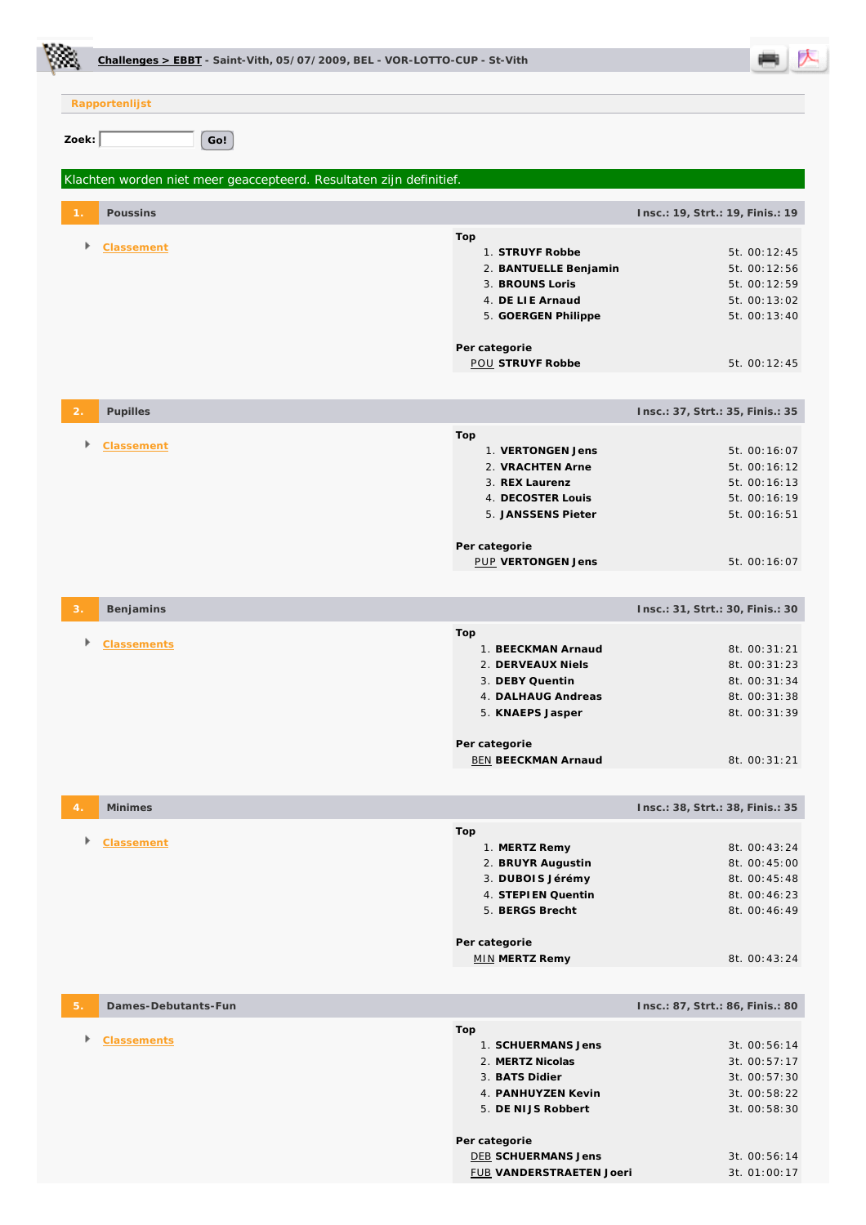|                |                     | Challenges > EBBT - Saint-Vith, 05/07/2009, BEL - VOR-LOTTO-CUP - St-Vith |                                             |                                  |
|----------------|---------------------|---------------------------------------------------------------------------|---------------------------------------------|----------------------------------|
|                | Rapportenlijst      |                                                                           |                                             |                                  |
|                |                     |                                                                           |                                             |                                  |
| Zoek:          |                     | Go!                                                                       |                                             |                                  |
|                |                     | Klachten worden niet meer geaccepteerd. Resultaten zijn definitief.       |                                             |                                  |
|                | Poussins            |                                                                           |                                             | Insc.: 19, Strt.: 19, Finis.: 19 |
| Þ              | Classement          |                                                                           | Top<br>1. STRUYF Robbe                      | 5t. 00:12:45                     |
|                |                     |                                                                           | 2. BANTUELLE Benjamin                       | 5t. 00:12:56                     |
|                |                     |                                                                           | 3. BROUNS Loris                             | 5t. 00:12:59                     |
|                |                     |                                                                           | 4. DE LIE Arnaud                            | 5t. 00:13:02                     |
|                |                     |                                                                           | 5. GOERGEN Philippe                         | 5t. 00:13:40                     |
|                |                     |                                                                           | Per categorie                               |                                  |
|                |                     |                                                                           | <b>POU STRUYF Robbe</b>                     | 5t. 00:12:45                     |
| $\overline{2}$ | Pupilles            |                                                                           |                                             | Insc.: 37, Strt.: 35, Finis.: 35 |
|                |                     |                                                                           | Top                                         |                                  |
|                | Classement          |                                                                           | 1. VERTONGEN Jens                           | 5t. 00:16:07                     |
|                |                     |                                                                           | 2. VRACHTEN Arne                            | 5t. 00:16:12                     |
|                |                     |                                                                           | 3. REX Laurenz                              | 5t. 00:16:13                     |
|                |                     |                                                                           | 4. DECOSTER Louis                           | 5t. 00:16:19                     |
|                |                     |                                                                           | 5. JANSSENS Pieter                          | 5t. 00:16:51                     |
|                |                     |                                                                           |                                             |                                  |
|                |                     |                                                                           | Per categorie<br><b>PUP VERTONGEN Jens</b>  | 5t. 00:16:07                     |
|                |                     |                                                                           |                                             |                                  |
|                | Benjamins           |                                                                           |                                             | Insc.: 31, Strt.: 30, Finis.: 30 |
|                |                     |                                                                           | Top                                         |                                  |
|                | <b>Classements</b>  |                                                                           | 1. BEECKMAN Arnaud                          | 8t. 00:31:21                     |
|                |                     |                                                                           | 2. DERVEAUX Niels                           | 8t. 00:31:23                     |
|                |                     |                                                                           | 3. DEBY Quentin                             | 8t. 00:31:34                     |
|                |                     |                                                                           | 4. DALHAUG Andreas<br>5. KNAEPS Jasper      | 8t. 00:31:38<br>8t. 00:31:39     |
|                |                     |                                                                           |                                             |                                  |
|                |                     |                                                                           | Per categorie<br><b>BEN BEECKMAN Arnaud</b> | 8t. 00:31:21                     |
|                |                     |                                                                           |                                             |                                  |
| $\overline{4}$ | <b>Minimes</b>      |                                                                           |                                             | Insc.: 38, Strt.: 38, Finis.: 35 |
|                |                     |                                                                           | Top                                         |                                  |
|                | Classement          |                                                                           | 1. MERTZ Remy                               | 8t. 00:43:24                     |
|                |                     |                                                                           | 2. BRUYR Augustin                           | 8t. 00:45:00                     |
|                |                     |                                                                           | 3. DUBOIS Jérémy                            | 8t. 00:45:48                     |
|                |                     |                                                                           | 4. STEPIEN Quentin                          | 8t. 00:46:23                     |
|                |                     |                                                                           | 5. BERGS Brecht                             | 8t. 00:46:49                     |
|                |                     |                                                                           | Per categorie                               |                                  |
|                |                     |                                                                           | <b>MIN MERTZ Remy</b>                       | 8t. 00:43:24                     |
| 5.             | Dames-Debutants-Fun |                                                                           |                                             | Insc.: 87, Strt.: 86, Finis.: 80 |
|                |                     |                                                                           | Top                                         |                                  |
| Þ              | <b>Classements</b>  |                                                                           | 1. SCHUERMANS Jens                          | 3t. 00:56:14                     |
|                |                     |                                                                           | 2. MERTZ Nicolas                            | 3t. 00:57:17                     |
|                |                     |                                                                           | 3. BATS Didier                              | 3t. 00:57:30                     |
|                |                     |                                                                           | 4. PANHUYZEN Kevin                          | 3t. 00:58:22                     |
|                |                     |                                                                           | 5. DE NIJS Robbert                          | 3t. 00:58:30                     |
|                |                     |                                                                           | Per categorie                               |                                  |
|                |                     |                                                                           | <b>DEB SCHUERMANS Jens</b>                  | 3t. 00:56:14                     |
|                |                     |                                                                           | FUB VANDERSTRAETEN Joeri                    | 3t. 01:00:17                     |